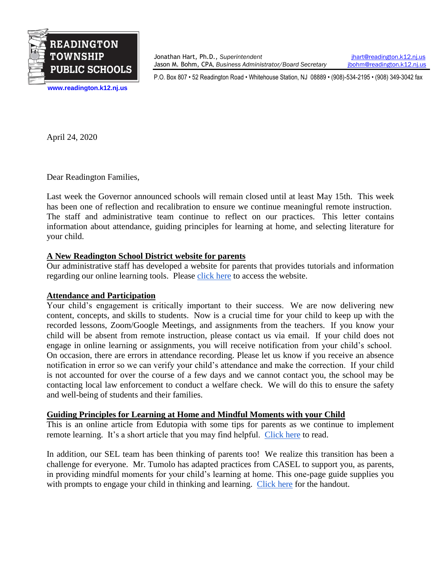

Jonathan Hart, Ph.D., *Superintendent* [jhart@readington.k12.nj.us](mailto:jhart@readington.k12.nj.us) Jason M. Bohm, CPA, *Business Administrator/Board Secretary* [jbohm@readington.k12.nj.us](mailto:jbohm@readington.k12.nj.us)

P.O. Box 807 • 52 Readington Road • Whitehouse Station, NJ 08889 • (908)-534-2195 • (908) 349-3042 fax

**[www.readington.k12.nj.us](http://www.readington.k12.nj.us/)**

April 24, 2020

Dear Readington Families,

Last week the Governor announced schools will remain closed until at least May 15th. This week has been one of reflection and recalibration to ensure we continue meaningful remote instruction. The staff and administrative team continue to reflect on our practices. This letter contains information about attendance, guiding principles for learning at home, and selecting literature for your child.

## **A New Readington School District website for parents**

Our administrative staff has developed a website for parents that provides tutorials and information regarding our online learning tools. Please [click here](https://sites.google.com/readington.k12.nj.us/techathome/home) to access the website.

## **Attendance and Participation**

Your child's engagement is critically important to their success. We are now delivering new content, concepts, and skills to students. Now is a crucial time for your child to keep up with the recorded lessons, Zoom/Google Meetings, and assignments from the teachers. If you know your child will be absent from remote instruction, please contact us via email. If your child does not engage in online learning or assignments, you will receive notification from your child's school. On occasion, there are errors in attendance recording. Please let us know if you receive an absence notification in error so we can verify your child's attendance and make the correction. If your child is not accounted for over the course of a few days and we cannot contact you, the school may be contacting local law enforcement to conduct a welfare check. We will do this to ensure the safety and well-being of students and their families.

## **Guiding Principles for Learning at Home and Mindful Moments with your Child**

This is an online article from Edutopia with some tips for parents as we continue to implement remote learning. It's a short article that you may find helpful. [Click here](https://www.edutopia.org/article/7-guiding-principles-parents-teaching-home?utm_source=Edutopia+Newsletter&utm_campaign=98c9781901-EMAIL_CAMPAIGN_041520_enews_diywaysto&utm_medium=email&utm_term=0_f72e8cc8c4-98c9781901-78801419) to read.

In addition, our SEL team has been thinking of parents too! We realize this transition has been a challenge for everyone. Mr. Tumolo has adapted practices from CASEL to support you, as parents, in providing mindful moments for your child's learning at home. This one-page guide supplies you with prompts to engage your child in thinking and learning. [Click here](https://drive.google.com/file/d/1988dGALFRWS46eOZ3OueyVqNnR6yMtE2/view?usp=sharing) for the handout.